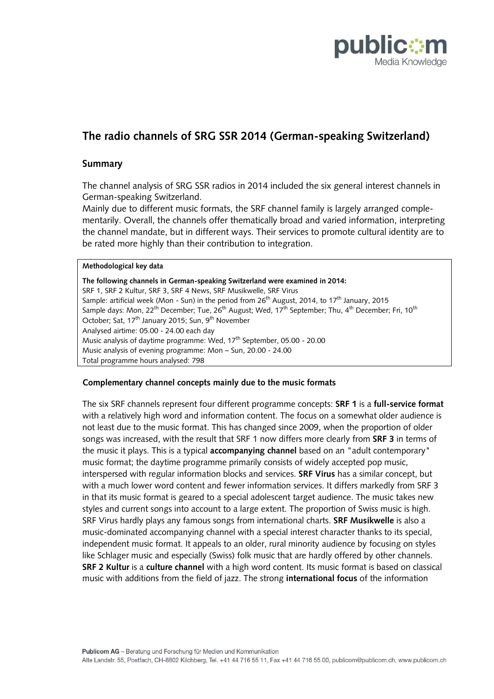

# **The radio channels of SRG SSR 2014 (German-speaking Switzerland)**

## **Summary**

The channel analysis of SRG SSR radios in 2014 included the six general interest channels in German-speaking Switzerland.

Mainly due to different music formats, the SRF channel family is largely arranged complementarily. Overall, the channels offer thematically broad and varied information, interpreting the channel mandate, but in different ways. Their services to promote cultural identity are to be rated more highly than their contribution to integration.

#### **Methodological key data**

**The following channels in German-speaking Switzerland were examined in 2014:** SRF 1, SRF 2 Kultur, SRF 3, SRF 4 News, SRF Musikwelle, SRF Virus Sample: artificial week (Mon - Sun) in the period from 26<sup>th</sup> August, 2014, to 17<sup>th</sup> January, 2015 Sample days: Mon, 22 $^{\rm th}$  December; Tue, 26 $^{\rm th}$  August; Wed, 17 $^{\rm th}$  September; Thu, 4 $^{\rm th}$  December; Fri, 10 $^{\rm th}$ October; Sat, 17<sup>th</sup> January 2015; Sun, 9<sup>th</sup> November Analysed airtime: 05.00 - 24.00 each day Music analysis of daytime programme: Wed, 17<sup>th</sup> September, 05.00 - 20.00 Music analysis of evening programme: Mon – Sun, 20.00 - 24.00 Total programme hours analysed: 798

## **Complementary channel concepts mainly due to the music formats**

The six SRF channels represent four different programme concepts: **SRF 1** is a **full-service format** with a relatively high word and information content. The focus on a somewhat older audience is not least due to the music format. This has changed since 2009, when the proportion of older songs was increased, with the result that SRF 1 now differs more clearly from **SRF 3** in terms of the music it plays. This is a typical **accompanying channel** based on an "adult contemporary" music format; the daytime programme primarily consists of widely accepted pop music, interspersed with regular information blocks and services. **SRF Virus** has a similar concept, but with a much lower word content and fewer information services. It differs markedly from SRF 3 in that its music format is geared to a special adolescent target audience. The music takes new styles and current songs into account to a large extent. The proportion of Swiss music is high. SRF Virus hardly plays any famous songs from international charts. **SRF Musikwelle** is also a music-dominated accompanying channel with a special interest character thanks to its special, independent music format. It appeals to an older, rural minority audience by focusing on styles like Schlager music and especially (Swiss) folk music that are hardly offered by other channels. **SRF 2 Kultur** is a **culture channel** with a high word content. Its music format is based on classical music with additions from the field of jazz. The strong **international focus** of the information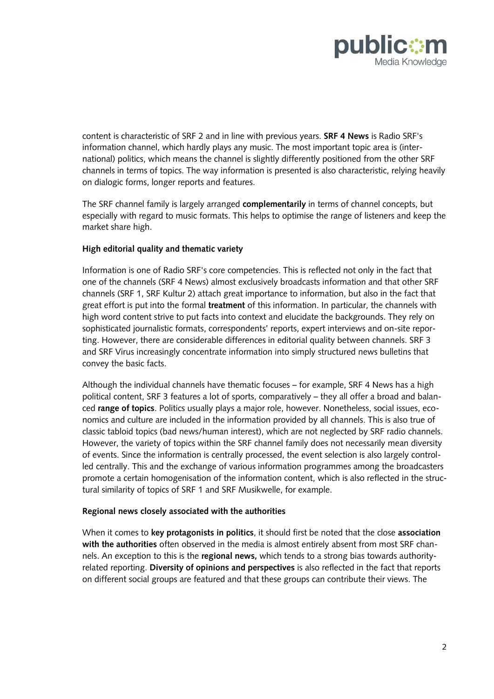

content is characteristic of SRF 2 and in line with previous years. **SRF 4 News** is Radio SRF's information channel, which hardly plays any music. The most important topic area is (international) politics, which means the channel is slightly differently positioned from the other SRF channels in terms of topics. The way information is presented is also characteristic, relying heavily on dialogic forms, longer reports and features.

The SRF channel family is largely arranged **complementarily** in terms of channel concepts, but especially with regard to music formats. This helps to optimise the range of listeners and keep the market share high.

## **High editorial quality and thematic variety**

Information is one of Radio SRF's core competencies. This is reflected not only in the fact that one of the channels (SRF 4 News) almost exclusively broadcasts information and that other SRF channels (SRF 1, SRF Kultur 2) attach great importance to information, but also in the fact that great effort is put into the formal **treatment** of this information. In particular, the channels with high word content strive to put facts into context and elucidate the backgrounds. They rely on sophisticated journalistic formats, correspondents' reports, expert interviews and on-site reporting. However, there are considerable differences in editorial quality between channels. SRF 3 and SRF Virus increasingly concentrate information into simply structured news bulletins that convey the basic facts.

Although the individual channels have thematic focuses – for example, SRF 4 News has a high political content, SRF 3 features a lot of sports, comparatively – they all offer a broad and balanced **range of topics**. Politics usually plays a major role, however. Nonetheless, social issues, economics and culture are included in the information provided by all channels. This is also true of classic tabloid topics (bad news/human interest), which are not neglected by SRF radio channels. However, the variety of topics within the SRF channel family does not necessarily mean diversity of events. Since the information is centrally processed, the event selection is also largely controlled centrally. This and the exchange of various information programmes among the broadcasters promote a certain homogenisation of the information content, which is also reflected in the structural similarity of topics of SRF 1 and SRF Musikwelle, for example.

## **Regional news closely associated with the authorities**

When it comes to **key protagonists in politics**, it should first be noted that the close **association with the authorities** often observed in the media is almost entirely absent from most SRF channels. An exception to this is the **regional news,** which tends to a strong bias towards authorityrelated reporting. **Diversity of opinions and perspectives** is also reflected in the fact that reports on different social groups are featured and that these groups can contribute their views. The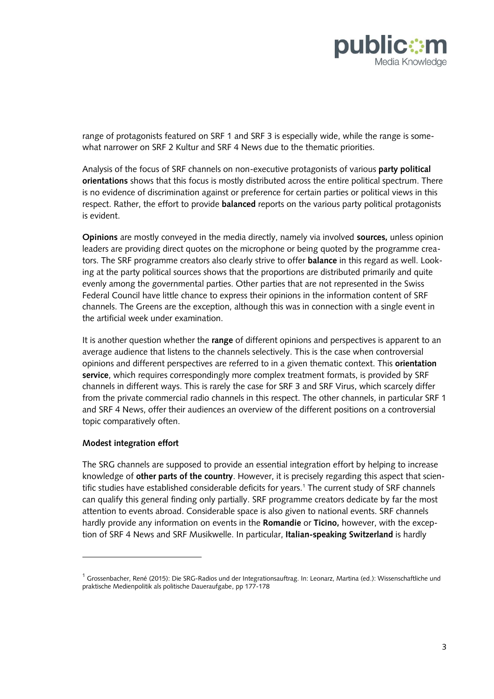

range of protagonists featured on SRF 1 and SRF 3 is especially wide, while the range is somewhat narrower on SRF 2 Kultur and SRF 4 News due to the thematic priorities.

Analysis of the focus of SRF channels on non-executive protagonists of various **party political orientations** shows that this focus is mostly distributed across the entire political spectrum. There is no evidence of discrimination against or preference for certain parties or political views in this respect. Rather, the effort to provide **balanced** reports on the various party political protagonists is evident.

**Opinions** are mostly conveyed in the media directly, namely via involved **sources,** unless opinion leaders are providing direct quotes on the microphone or being quoted by the programme creators. The SRF programme creators also clearly strive to offer **balance** in this regard as well. Looking at the party political sources shows that the proportions are distributed primarily and quite evenly among the governmental parties. Other parties that are not represented in the Swiss Federal Council have little chance to express their opinions in the information content of SRF channels. The Greens are the exception, although this was in connection with a single event in the artificial week under examination.

It is another question whether the **range** of different opinions and perspectives is apparent to an average audience that listens to the channels selectively. This is the case when controversial opinions and different perspectives are referred to in a given thematic context. This **orientation service**, which requires correspondingly more complex treatment formats, is provided by SRF channels in different ways. This is rarely the case for SRF 3 and SRF Virus, which scarcely differ from the private commercial radio channels in this respect. The other channels, in particular SRF 1 and SRF 4 News, offer their audiences an overview of the different positions on a controversial topic comparatively often.

## **Modest integration effort**

 $\overline{a}$ 

The SRG channels are supposed to provide an essential integration effort by helping to increase knowledge of **other parts of the country**. However, it is precisely regarding this aspect that scientific studies have established considerable deficits for years.<sup>1</sup> The current study of SRF channels can qualify this general finding only partially. SRF programme creators dedicate by far the most attention to events abroad. Considerable space is also given to national events. SRF channels hardly provide any information on events in the **Romandie** or **Ticino,** however, with the exception of SRF 4 News and SRF Musikwelle. In particular, **Italian-speaking Switzerland** is hardly

 $1$  Grossenbacher, René (2015): Die SRG-Radios und der Integrationsauftrag. In: Leonarz, Martina (ed.): Wissenschaftliche und praktische Medienpolitik als politische Daueraufgabe, pp 177-178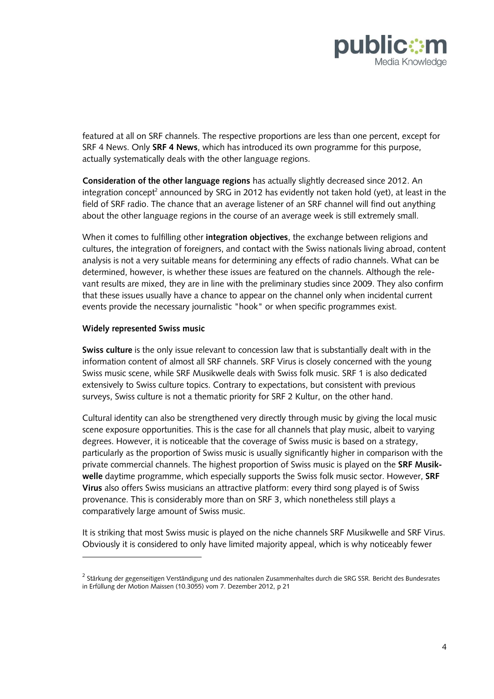

featured at all on SRF channels. The respective proportions are less than one percent, except for SRF 4 News. Only **SRF 4 News**, which has introduced its own programme for this purpose, actually systematically deals with the other language regions.

**Consideration of the other language regions** has actually slightly decreased since 2012. An integration concept<sup>2</sup> announced by SRG in 2012 has evidently not taken hold (yet), at least in the field of SRF radio. The chance that an average listener of an SRF channel will find out anything about the other language regions in the course of an average week is still extremely small.

When it comes to fulfilling other **integration objectives**, the exchange between religions and cultures, the integration of foreigners, and contact with the Swiss nationals living abroad, content analysis is not a very suitable means for determining any effects of radio channels. What can be determined, however, is whether these issues are featured on the channels. Although the relevant results are mixed, they are in line with the preliminary studies since 2009. They also confirm that these issues usually have a chance to appear on the channel only when incidental current events provide the necessary journalistic "hook" or when specific programmes exist.

## **Widely represented Swiss music**

 $\overline{a}$ 

**Swiss culture** is the only issue relevant to concession law that is substantially dealt with in the information content of almost all SRF channels. SRF Virus is closely concerned with the young Swiss music scene, while SRF Musikwelle deals with Swiss folk music. SRF 1 is also dedicated extensively to Swiss culture topics. Contrary to expectations, but consistent with previous surveys, Swiss culture is not a thematic priority for SRF 2 Kultur, on the other hand.

Cultural identity can also be strengthened very directly through music by giving the local music scene exposure opportunities. This is the case for all channels that play music, albeit to varying degrees. However, it is noticeable that the coverage of Swiss music is based on a strategy, particularly as the proportion of Swiss music is usually significantly higher in comparison with the private commercial channels. The highest proportion of Swiss music is played on the **SRF Musikwelle** daytime programme, which especially supports the Swiss folk music sector. However, **SRF Virus** also offers Swiss musicians an attractive platform: every third song played is of Swiss provenance. This is considerably more than on SRF 3, which nonetheless still plays a comparatively large amount of Swiss music.

It is striking that most Swiss music is played on the niche channels SRF Musikwelle and SRF Virus. Obviously it is considered to only have limited majority appeal, which is why noticeably fewer

<sup>&</sup>lt;sup>2</sup> Stärkung der gegenseitigen Verständigung und des nationalen Zusammenhaltes durch die SRG SSR. Bericht des Bundesrates in Erfüllung der Motion Maissen (10.3055) vom 7. Dezember 2012, p 21